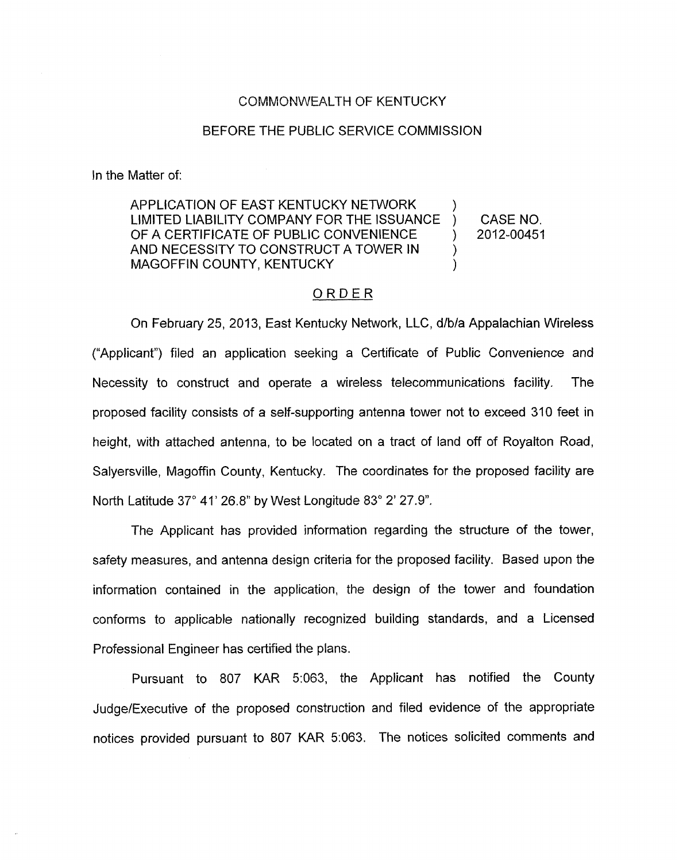## COMMONWEALTH OF KENTUCKY

## BEFORE THE PUBLIC SERVICE COMMISSION

In the Matter of:

APPLICATION OF EAST KENTUCKY NETWORK  $\qquad$  )<br>LIMITED LIABILITY COMPANY FOR THE ISSUANCE ) LIMITED LIABILITY COMPANY FOR THE ISSUANCE ) CASE NO. OF A CERTIFICATE OF PUBLIC CONVENIENCE ) 2012-00451 AND NECESSITY TO CONSTRUCT A TOWER IN  $\qquad$  ) MAGOFFIN COUNTY, KENTUCKY

## ORDER

On February 25, 2013, East Kentucky Network, LLC, d/b/a Appalachian Wireless ("Applicant") filed an application seeking a Certificate of Public Convenience and Necessity to construct and operate a wireless telecommunications facility. The proposed facility consists of a self-supporting antenna tower not to exceed 310 feet in height, with attached antenna, to be located on a tract of land off of Royalton Road, Salyersville, Magoffin County, Kentucky. The coordinates for the proposed facility are North Latitude 37° 41' 26.8" by West Longitude 83° 2' 27.9".

The Applicant has provided information regarding the structure of the tower, safety measures, and antenna design criteria for the proposed facility. Based upon the information contained in the application, the design of the tower and foundation conforms to applicable nationally recognized building standards, and a Licensed Professional Engineer has certified the plans.

Pursuant to 807 KAR 5:063, the Applicant has notified the County Judge/Executive of the propased construction and filed evidence of the appropriate notices provided pursuant to 807 KAR 5:063. The notices solicited comments and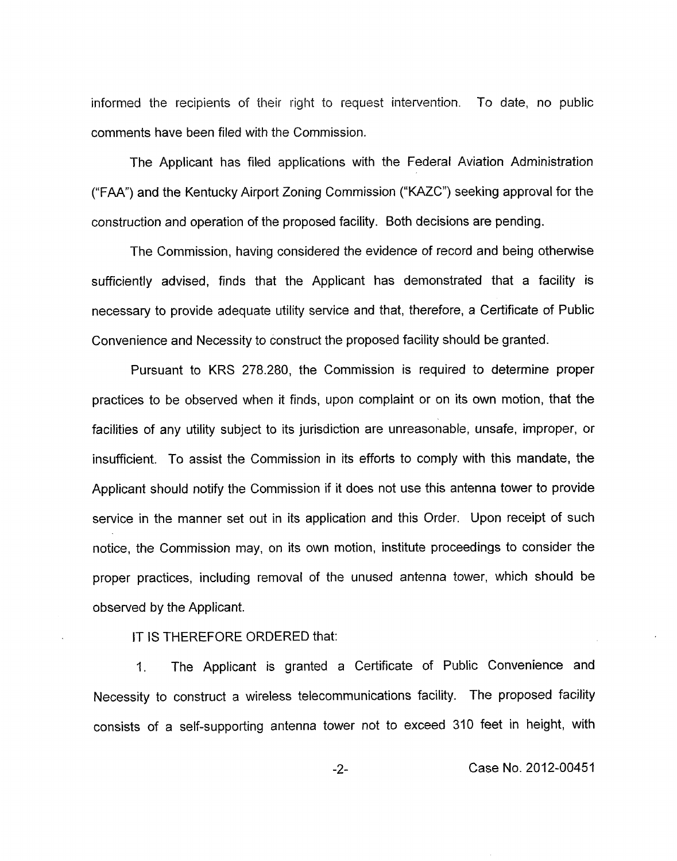informed the recipients of their right io request intervention. To date, no public comments have been filed with the Commission.

The Applicant has filed applications with the Federal Aviation Administration ("FAA") and the Kentucky Airport Zoning Commission ("KAZC") seeking approval for the construction and operation of the proposed facility. Both decisions are pending.

The Commission, having considered the evidence of record and being otherwise sufficiently advised, finds that the Applicant has demonstrated that a facility is necessary to provide adequate utility service and that, therefore, a Certificate of Public Convenience and Necessity to construct the proposed facility should be granted.

Pursuant to KRS 278.280, the Commission is required to determine proper practices to be observed when it finds, upon complaint or on its own motion, that the facilities of any utility subject to its jurisdiction are unreasonable, unsafe, improper, or insufficient. To assist the Commission in its efforts to comply with this mandate, the Applicant should notify the Commission if it does not use this antenna tower to provide service in the manner set out in its application and this Order. Upon receipt of such notice, the Commission may, on its own motion, institute proceedings to consider the proper practices, including removal of the unused antenna tower, which should be observed by the Applicant.

IT IS THEREFORE ORDERED that:

1. The Applicant is granted a Certificate of Public Convenience and Necessity to construct a wireless telecommunications facility. The proposed facility consists of a self-supporting antenna tower not to exceed 310 feet in height, with

-2- Case No. 2012-00451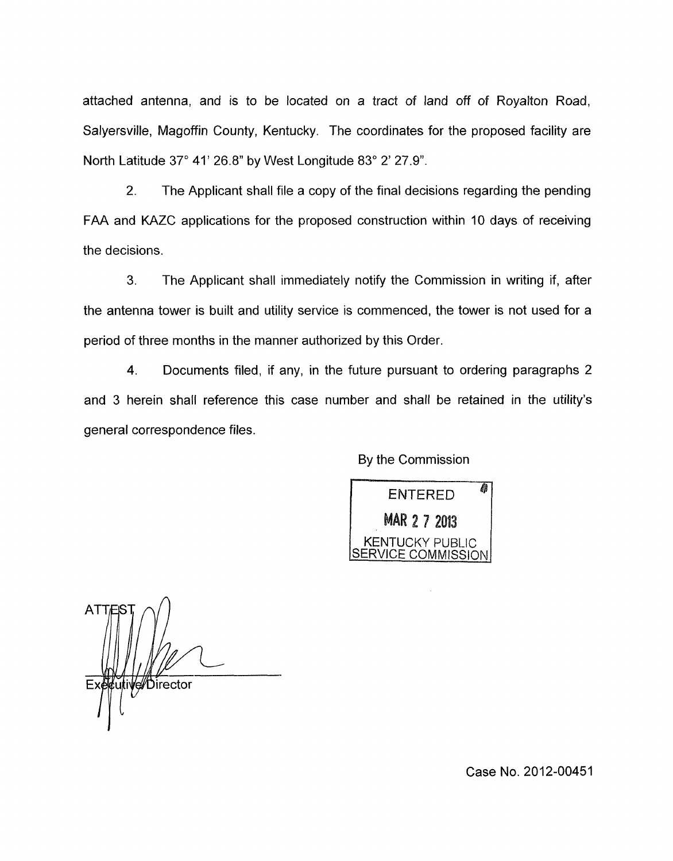attached antenna, and is to be located on a tract of land off of Royalton Road, Salyersville, Magoffin County, Kentucky. The coordinates for the proposed facility are North Latitude 37" 41' 26.8" by West Longitude 83" 2' 27.9".

2. The Applicant shall file a copy of the final decisions regarding the pending FAA and KAZC applications for the proposed construction within 10 days of receiving the decisions.

3. The Applicant shall immediately notify the Commission in writing if, after the antenna tower is built and utility service is commenced, the tower is not used for a period of three months in the manner authorized by this Order.

4. Documents filed, if any, in the future pursuant to ordering paragraphs 2 and 3 herein shall reference this case number and shall be retained in the utility's general correspondence files.

By the Commission

角 **ENTERED MAR 2 7 2013** KENTUCKY PUBLIC VICE COMMISSION

i**Ve//Di**rector

Case No. 2012-00451